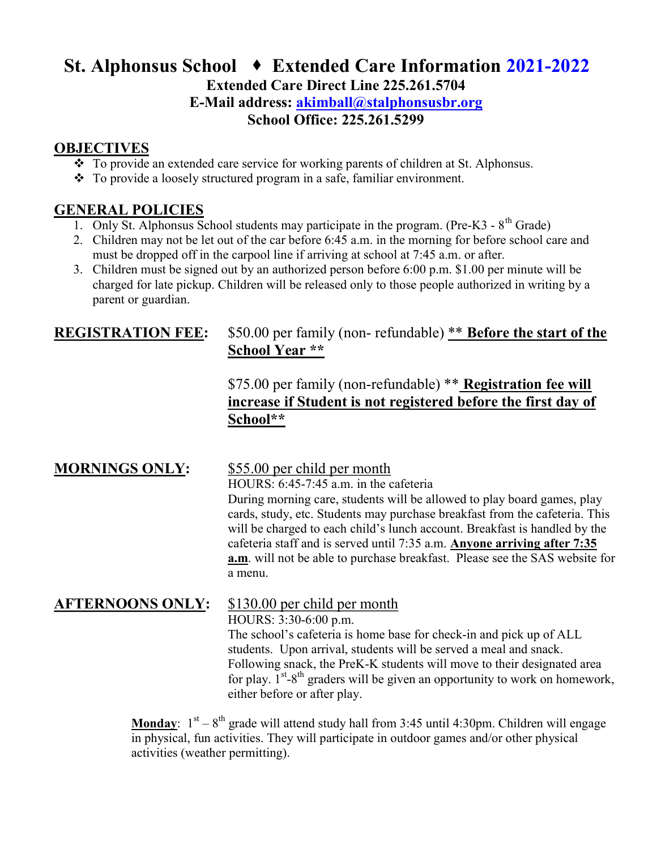# St. Alphonsus School → Extended Care Information 2021-2022

Extended Care Direct Line 225.261.5704

E-Mail address: akimball@stalphonsusbr.org

School Office: 225.261.5299

#### **OBJECTIVES**

- \* To provide an extended care service for working parents of children at St. Alphonsus.
- To provide a loosely structured program in a safe, familiar environment.

#### GENERAL POLICIES

- 1. Only St. Alphonsus School students may participate in the program. (Pre-K3  $8<sup>th</sup>$  Grade)
- 2. Children may not be let out of the car before 6:45 a.m. in the morning for before school care and must be dropped off in the carpool line if arriving at school at 7:45 a.m. or after.
- 3. Children must be signed out by an authorized person before 6:00 p.m. \$1.00 per minute will be charged for late pickup. Children will be released only to those people authorized in writing by a parent or guardian.

#### REGISTRATION FEE: \$50.00 per family (non- refundable) \*\* Before the start of the School Year \*\*

### \$75.00 per family (non-refundable) \*\* Registration fee will increase if Student is not registered before the first day of School\*\*

#### MORNINGS ONLY: \$55.00 per child per month

 HOURS: 6:45-7:45 a.m. in the cafeteria During morning care, students will be allowed to play board games, play cards, study, etc. Students may purchase breakfast from the cafeteria. This will be charged to each child's lunch account. Breakfast is handled by the cafeteria staff and is served until 7:35 a.m. Anyone arriving after 7:35 a.m. will not be able to purchase breakfast. Please see the SAS website for a menu.

## AFTERNOONS ONLY: \$130.00 per child per month

HOURS: 3:30-6:00 p.m.

The school's cafeteria is home base for check-in and pick up of ALL students. Upon arrival, students will be served a meal and snack. Following snack, the PreK-K students will move to their designated area for play.  $1^{st} - 8^{th}$  graders will be given an opportunity to work on homework, either before or after play.

**Monday:**  $1^{st} - 8^{th}$  grade will attend study hall from 3:45 until 4:30pm. Children will engage in physical, fun activities. They will participate in outdoor games and/or other physical activities (weather permitting).